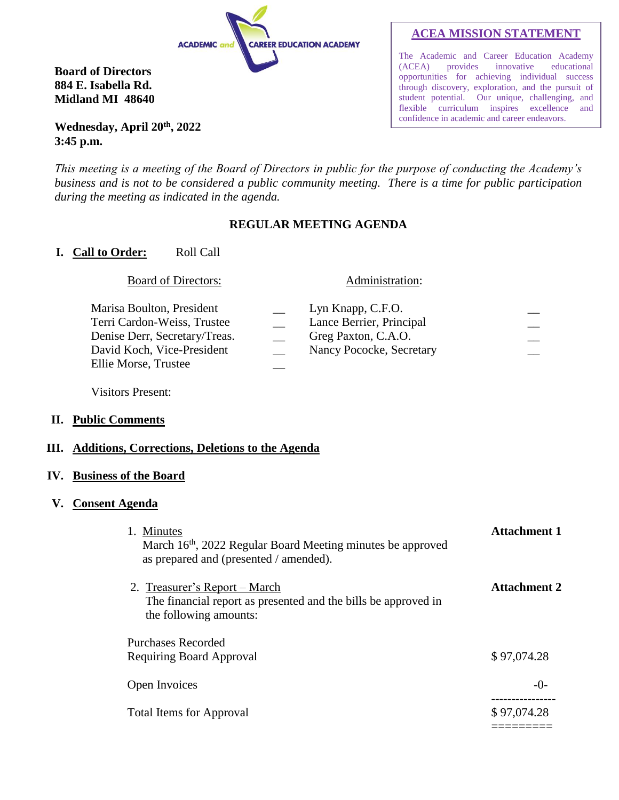

**Board of Directors 884 E. Isabella Rd. Midland MI 48640**

**Wednesday, April 20th, 2022 3:45 p.m.**

*This meeting is a meeting of the Board of Directors in public for the purpose of conducting the Academy's business and is not to be considered a public community meeting. There is a time for public participation during the meeting as indicated in the agenda.*

#### **REGULAR MEETING AGENDA**

## **I.** Call to Order: Roll Call

| <b>Board of Directors:</b>                                                                                                                      | Administration:                                                                                  |  |
|-------------------------------------------------------------------------------------------------------------------------------------------------|--------------------------------------------------------------------------------------------------|--|
| Marisa Boulton, President<br>Terri Cardon-Weiss, Trustee<br>Denise Derr, Secretary/Treas.<br>David Koch, Vice-President<br>Ellie Morse, Trustee | Lyn Knapp, C.F.O.<br>Lance Berrier, Principal<br>Greg Paxton, C.A.O.<br>Nancy Pococke, Secretary |  |

Visitors Present:

#### **II. Public Comments**

## **III. Additions, Corrections, Deletions to the Agenda**

#### **IV. Business of the Board**

#### **V. Consent Agenda**

| Minutes<br>March 16 <sup>th</sup> , 2022 Regular Board Meeting minutes be approved<br>as prepared and (presented / amended). | <b>Attachment 1</b> |
|------------------------------------------------------------------------------------------------------------------------------|---------------------|
| 2. Treasurer's Report – March<br>The financial report as presented and the bills be approved in<br>the following amounts:    | <b>Attachment 2</b> |
| Purchases Recorded<br>Requiring Board Approval                                                                               | \$97,074.28         |
| Open Invoices                                                                                                                | -()-                |
| <b>Total Items for Approval</b>                                                                                              | \$97,074.28         |
|                                                                                                                              |                     |

## **ACEA MISSION STATEMENT**

The Academic and Career Education Academy (ACEA) provides innovative educational opportunities for achieving individual success through discovery, exploration, and the pursuit of student potential. Our unique, challenging, and flexible curriculum inspires excellence and confidence in academic and career endeavors.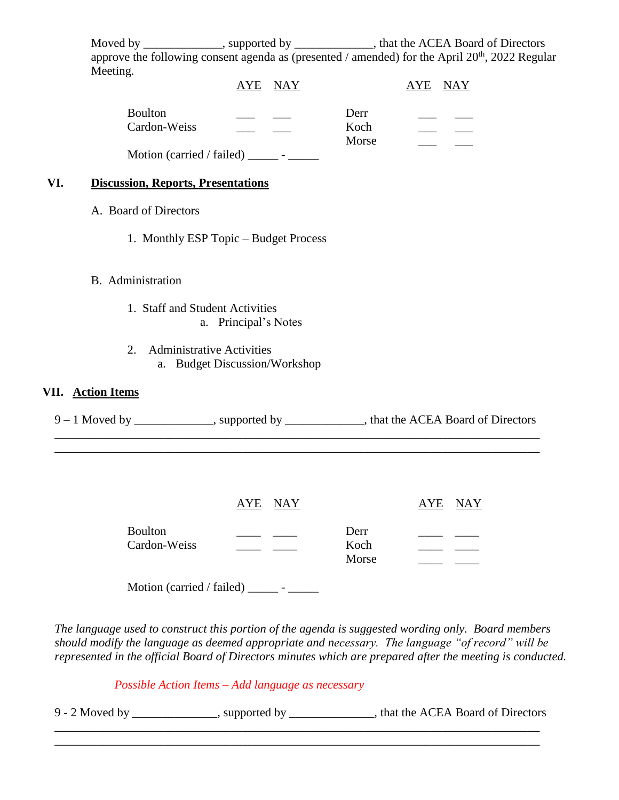Moved by \_\_\_\_\_\_\_\_\_\_\_\_, supported by \_\_\_\_\_\_\_\_\_\_\_\_, that the ACEA Board of Directors approve the following consent agenda as (presented / amended) for the April  $20^{th}$ , 2022 Regular Meeting.

| Meeting.                                                                                 |                                                                   | AYE NAY    |                       | $\overline{\text{AYE}}$<br>NAY |  |
|------------------------------------------------------------------------------------------|-------------------------------------------------------------------|------------|-----------------------|--------------------------------|--|
|                                                                                          | <b>Boulton</b><br>Cardon-Weiss                                    |            | Derr<br>Koch<br>Morse |                                |  |
| VI.                                                                                      | Motion (carried / failed) _______ - ______                        |            |                       |                                |  |
|                                                                                          | <b>Discussion, Reports, Presentations</b>                         |            |                       |                                |  |
|                                                                                          | A. Board of Directors                                             |            |                       |                                |  |
|                                                                                          | 1. Monthly ESP Topic – Budget Process                             |            |                       |                                |  |
|                                                                                          | <b>B.</b> Administration                                          |            |                       |                                |  |
| 1. Staff and Student Activities<br>a. Principal's Notes                                  |                                                                   |            |                       |                                |  |
| 2.                                                                                       | <b>Administrative Activities</b><br>a. Budget Discussion/Workshop |            |                       |                                |  |
| VII. Action Items                                                                        |                                                                   |            |                       |                                |  |
| 9 – 1 Moved by _____________, supported by ___________, that the ACEA Board of Directors |                                                                   |            |                       |                                |  |
|                                                                                          |                                                                   |            |                       |                                |  |
|                                                                                          |                                                                   | AYE<br>NAY |                       | AYE<br><b>NAY</b>              |  |
|                                                                                          | Boulton<br>Cardon-Weiss                                           |            | Derr<br>Koch<br>Morse |                                |  |
|                                                                                          | Motion (carried / failed) $\qquad$ - $\qquad$                     |            |                       |                                |  |

*The language used to construct this portion of the agenda is suggested wording only. Board members should modify the language as deemed appropriate and necessary. The language "of record" will be represented in the official Board of Directors minutes which are prepared after the meeting is conducted.*

## *Possible Action Items – Add language as necessary*

9 - 2 Moved by \_\_\_\_\_\_\_\_\_\_\_\_\_\_, supported by \_\_\_\_\_\_\_\_\_\_\_\_\_\_, that the ACEA Board of Directors \_\_\_\_\_\_\_\_\_\_\_\_\_\_\_\_\_\_\_\_\_\_\_\_\_\_\_\_\_\_\_\_\_\_\_\_\_\_\_\_\_\_\_\_\_\_\_\_\_\_\_\_\_\_\_\_\_\_\_\_\_\_\_\_\_\_\_\_\_\_\_\_\_\_\_\_\_\_\_\_

\_\_\_\_\_\_\_\_\_\_\_\_\_\_\_\_\_\_\_\_\_\_\_\_\_\_\_\_\_\_\_\_\_\_\_\_\_\_\_\_\_\_\_\_\_\_\_\_\_\_\_\_\_\_\_\_\_\_\_\_\_\_\_\_\_\_\_\_\_\_\_\_\_\_\_\_\_\_\_\_